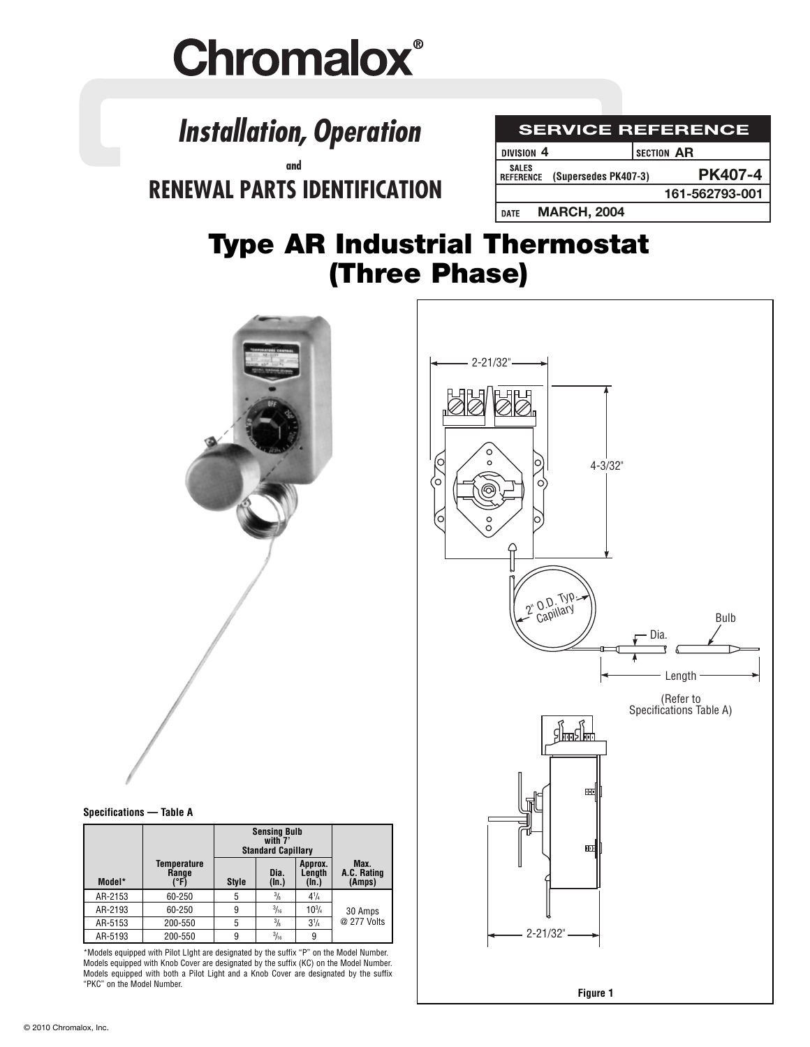

**and RENEWAL PARTS IDENTIFICATION**

| <b>SERVICE REFERENCE</b>         |                      |                   |  |  |  |  |
|----------------------------------|----------------------|-------------------|--|--|--|--|
| DIVISION <sub>4</sub>            |                      | <b>SECTION AR</b> |  |  |  |  |
| <b>SALES</b><br><b>REFERENCE</b> | (Supersedes PK407-3) | <b>PK407-4</b>    |  |  |  |  |
|                                  |                      | 161-562793-001    |  |  |  |  |
| DATE                             | <b>MARCH, 2004</b>   |                   |  |  |  |  |

# **Type AR Industrial Thermostat (Three Phase)**



#### **Specifications — Table A**

|         |                                     | <b>Sensing Bulb</b><br>with $7'$<br><b>Standard Capillary</b> |                  |                               |                               |
|---------|-------------------------------------|---------------------------------------------------------------|------------------|-------------------------------|-------------------------------|
| Model*  | <b>Temperature</b><br>Range<br>(°F) | <b>Style</b>                                                  | Dia.<br>$(\ln.)$ | Approx.<br>Lenath<br>$(\ln.)$ | Max.<br>A.C. Rating<br>(Amps) |
| AR-2153 | 60-250                              | 5                                                             | $\frac{3}{8}$    | $4^{1}/_{4}$                  |                               |
| AR-2193 | 60-250                              | 9                                                             | $^{3}/_{16}$     | $10^{3}/4$                    | 30 Amps                       |
| AR-5153 | 200-550                             | 5                                                             | $\frac{3}{8}$    | $3^{1/4}$                     | @ 277 Volts                   |
| AR-5193 | 200-550                             | 9                                                             | $^{3}/_{16}$     | 9                             |                               |

\*Models equipped with Pilot LIght are designated by the suffix "P" on the Model Number. Models equipped with Knob Cover are designated by the suffix (KC) on the Model Number. Models equipped with both a Pilot Light and a Knob Cover are designated by the suffix "PKC" on the Model Number.

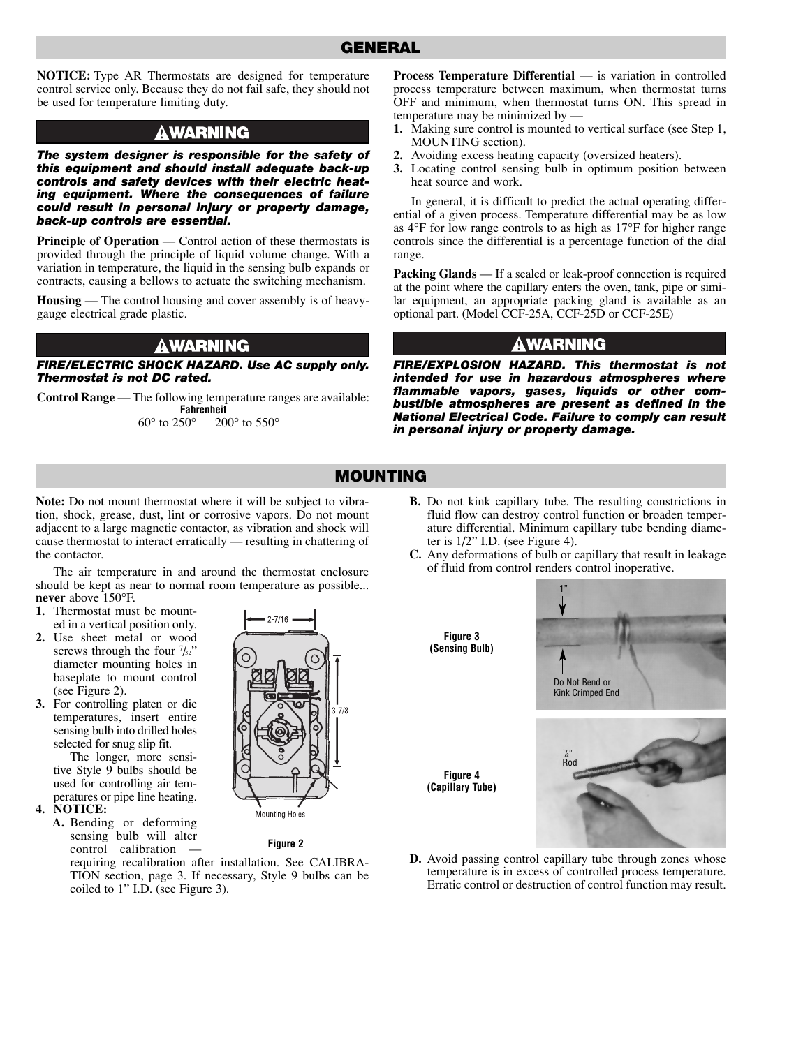#### **GENERAL**

**NOTICE:** Type AR Thermostats are designed for temperature control service only. Because they do not fail safe, they should not be used for temperature limiting duty.

#### **AWARNING**

*The system designer is responsible for the safety of this equipment and should install adequate back-up controls and safety devices with their electric heating equipment. Where the consequences of failure could result in personal injury or property damage, back-up controls are essential.* 

**Principle of Operation** — Control action of these thermostats is provided through the principle of liquid volume change. With a variation in temperature, the liquid in the sensing bulb expands or contracts, causing a bellows to actuate the switching mechanism.

**Housing** — The control housing and cover assembly is of heavygauge electrical grade plastic.

#### <u>A</u>WARNING

*FIRE/ELECTRIC SHOCK HAZARD. Use AC supply only. Thermostat is not DC rated.*

**Control Range** — The following temperature ranges are available: **Fahrenheit** 60° to 250° 200° to 550°

**Process Temperature Differential** — is variation in controlled process temperature between maximum, when thermostat turns OFF and minimum, when thermostat turns ON. This spread in temperature may be minimized by —

- **1.** Making sure control is mounted to vertical surface (see Step 1, MOUNTING section).
- **2.** Avoiding excess heating capacity (oversized heaters).
- **3.** Locating control sensing bulb in optimum position between heat source and work.

In general, it is difficult to predict the actual operating differential of a given process. Temperature differential may be as low as 4°F for low range controls to as high as 17°F for higher range controls since the differential is a percentage function of the dial range.

**Packing Glands** — If a sealed or leak-proof connection is required at the point where the capillary enters the oven, tank, pipe or similar equipment, an appropriate packing gland is available as an optional part. (Model CCF-25A, CCF-25D or CCF-25E)

# **A WARNING**

*FIRE/EXPLOSION HAZARD. This thermostat is not intended for use in hazardous atmospheres where flammable vapors, gases, liquids or other combustible atmospheres are present as defined in the National Electrical Code. Failure to comply can result in personal injury or property damage.*

#### **MOUNTING**

**Note:** Do not mount thermostat where it will be subject to vibration, shock, grease, dust, lint or corrosive vapors. Do not mount adjacent to a large magnetic contactor, as vibration and shock will cause thermostat to interact erratically — resulting in chattering of the contactor.

The air temperature in and around the thermostat enclosure should be kept as near to normal room temperature as possible... **never** above 150°F.

- **1.** Thermostat must be mounted in a vertical position only.
- **2.** Use sheet metal or wood screws through the four  $\frac{7}{32}$ " diameter mounting holes in baseplate to mount control (see Figure 2).
- **3.** For controlling platen or die temperatures, insert entire sensing bulb into drilled holes selected for snug slip fit.

The longer, more sensitive Style 9 bulbs should be used for controlling air temperatures or pipe line heating.

- **4. NOTICE:**
	- **A.** Bending or deforming sensing bulb will alter control calibration —



**Figure 2**

requiring recalibration after installation. See CALIBRA-TION section, page 3. If necessary, Style 9 bulbs can be coiled to 1" I.D. (see Figure 3).

- **B.** Do not kink capillary tube. The resulting constrictions in fluid flow can destroy control function or broaden temperature differential. Minimum capillary tube bending diameter is 1/2" I.D. (see Figure 4).
- **C.** Any deformations of bulb or capillary that result in leakage of fluid from control renders control inoperative.



**D.** Avoid passing control capillary tube through zones whose temperature is in excess of controlled process temperature. Erratic control or destruction of control function may result.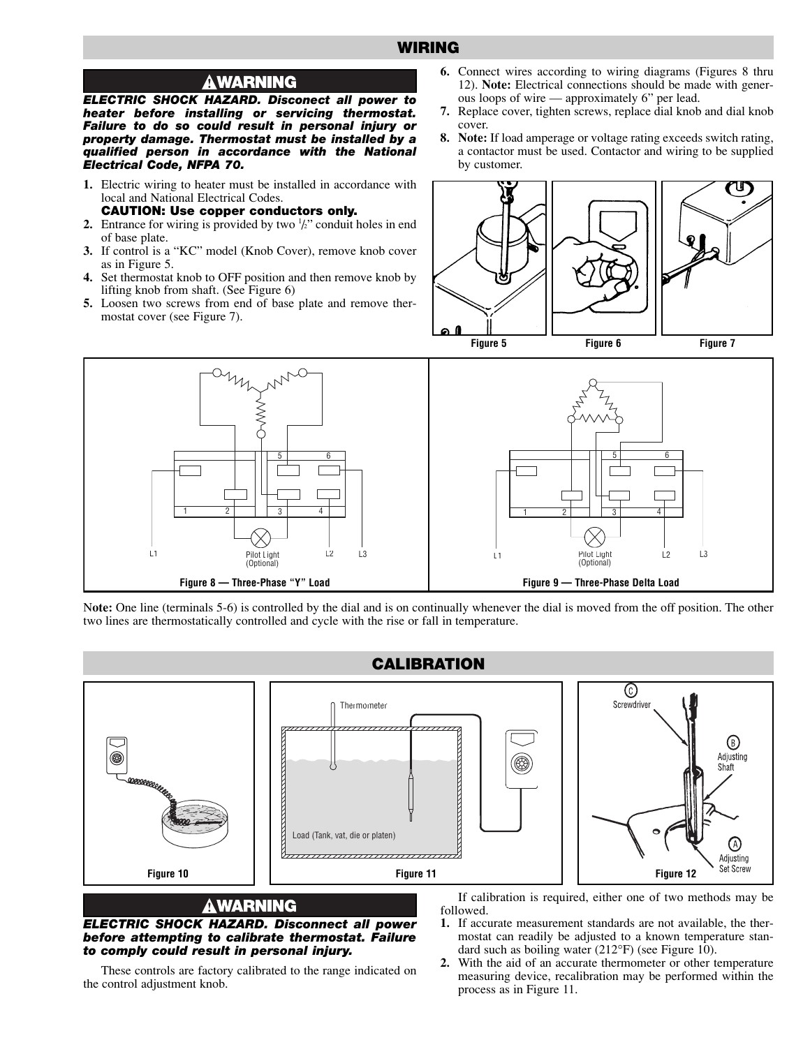#### **WIRING**

#### **AWARNING**

*ELECTRIC SHOCK HAZARD. Disconect all power to heater before installing or servicing thermostat. Failure to do so could result in personal injury or property damage. Thermostat must be installed by a qualified person in accordance with the National Electrical Code, NFPA 70.*

- **1.** Electric wiring to heater must be installed in accordance with local and National Electrical Codes.
- **CAUTION: Use copper conductors only.**
- **2.** Entrance for wiring is provided by two  $\frac{1}{2}$ " conduit holes in end of base plate.
- **3.** If control is a "KC" model (Knob Cover), remove knob cover as in Figure 5.
- **4.** Set thermostat knob to OFF position and then remove knob by lifting knob from shaft. (See Figure 6)
- **5.** Loosen two screws from end of base plate and remove thermostat cover (see Figure 7).
- **6.** Connect wires according to wiring diagrams (Figures 8 thru 12). **Note:** Electrical connections should be made with generous loops of wire — approximately 6" per lead.
- **7.** Replace cover, tighten screws, replace dial knob and dial knob cover.
- **8. Note:** If load amperage or voltage rating exceeds switch rating, a contactor must be used. Contactor and wiring to be supplied by customer.





N**ote:** One line (terminals 5-6) is controlled by the dial and is on continually whenever the dial is moved from the off position. The other two lines are thermostatically controlled and cycle with the rise or fall in temperature.



#### *ELECTRIC SHOCK HAZARD. Disconnect all power before attempting to calibrate thermostat. Failure to comply could result in personal injury.*

These controls are factory calibrated to the range indicated on the control adjustment knob.

If calibration is required, either one of two methods may be followed.

- **1.** If accurate measurement standards are not available, the thermostat can readily be adjusted to a known temperature standard such as boiling water (212°F) (see Figure 10).
- **2.** With the aid of an accurate thermometer or other temperature measuring device, recalibration may be performed within the process as in Figure 11.